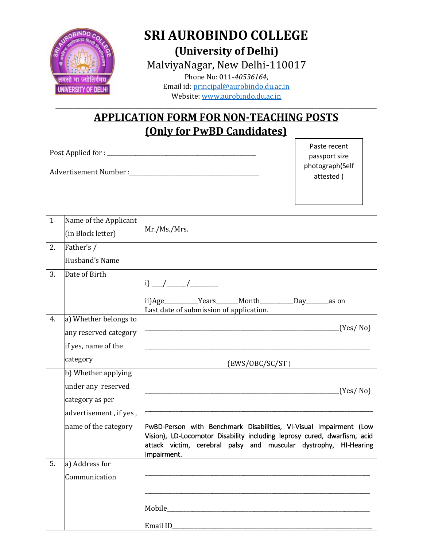

## **SRI AUROBINDO COLLEGE (University of Delhi)** MalviyaNagar, New Delhi-110017

Phone No: 011-*40536164*, Email id: [principal@aurobindo.du.ac.in](mailto:principal@aurobindo.du.ac.in) Website: [www.aurobindo.du.ac.in](http://www.aurobindo.du.ac.in/)

### **APPLICATION FORM FOR NON-TEACHING POSTS (Only for PwBD Candidates)**

**\_\_\_\_\_\_\_\_\_\_\_\_\_\_\_\_\_\_\_\_\_\_\_\_\_\_\_\_\_\_\_\_\_\_\_\_\_\_\_\_\_\_\_\_\_\_\_\_\_\_\_\_\_\_\_\_\_\_\_\_\_\_\_\_\_\_\_\_\_\_\_\_\_\_\_\_\_\_\_\_\_\_\_\_\_\_\_\_\_\_\_\_\_\_\_\_\_\_\_\_\_\_\_\_\_\_\_\_\_\_\_\_\_\_**

Post Applied for : \_\_\_\_\_\_\_\_\_\_\_\_\_\_\_\_\_\_\_\_\_\_\_\_\_\_\_\_\_\_\_\_\_\_\_\_\_\_\_\_\_\_\_\_\_\_\_\_\_\_\_\_\_

Advertisement Number :\_\_\_\_\_\_\_\_\_\_\_\_\_\_\_\_\_\_\_\_\_\_\_\_\_\_\_\_\_\_\_\_\_\_\_\_\_\_\_\_\_\_\_\_\_\_

Paste recent passport size photograph(Self attested )

| $\mathbf{1}$ | Name of the Applicant  |                                                                                                                                                                                                                                   |  |  |  |
|--------------|------------------------|-----------------------------------------------------------------------------------------------------------------------------------------------------------------------------------------------------------------------------------|--|--|--|
|              | (in Block letter)      | Mr./Ms./Mrs.                                                                                                                                                                                                                      |  |  |  |
| 2.           | Father's /             |                                                                                                                                                                                                                                   |  |  |  |
|              | Husband's Name         |                                                                                                                                                                                                                                   |  |  |  |
| 3.           | Date of Birth          |                                                                                                                                                                                                                                   |  |  |  |
|              |                        |                                                                                                                                                                                                                                   |  |  |  |
|              |                        | ii)Age__________Years______Month_________Day_______as on                                                                                                                                                                          |  |  |  |
| 4.           | a) Whether belongs to  | Last date of submission of application.                                                                                                                                                                                           |  |  |  |
|              |                        | (Yes/No)                                                                                                                                                                                                                          |  |  |  |
|              | any reserved category  |                                                                                                                                                                                                                                   |  |  |  |
|              | if yes, name of the    |                                                                                                                                                                                                                                   |  |  |  |
|              | category               | (EWS/OBC/SC/ST)                                                                                                                                                                                                                   |  |  |  |
|              | b) Whether applying    |                                                                                                                                                                                                                                   |  |  |  |
|              | under any reserved     | (Yes/No)                                                                                                                                                                                                                          |  |  |  |
|              | category as per        |                                                                                                                                                                                                                                   |  |  |  |
|              | advertisement, if yes, |                                                                                                                                                                                                                                   |  |  |  |
|              | name of the category   | PwBD-Person with Benchmark Disabilities, VI-Visual Impairment (Low<br>Vision), LD-Locomotor Disability including leprosy cured, dwarfism, acid<br>attack victim, cerebral palsy and muscular dystrophy, HI-Hearing<br>Impairment. |  |  |  |
| 5.           | a) Address for         |                                                                                                                                                                                                                                   |  |  |  |
|              | Communication          |                                                                                                                                                                                                                                   |  |  |  |
|              |                        |                                                                                                                                                                                                                                   |  |  |  |
|              |                        |                                                                                                                                                                                                                                   |  |  |  |
|              |                        |                                                                                                                                                                                                                                   |  |  |  |
|              |                        | Email ID                                                                                                                                                                                                                          |  |  |  |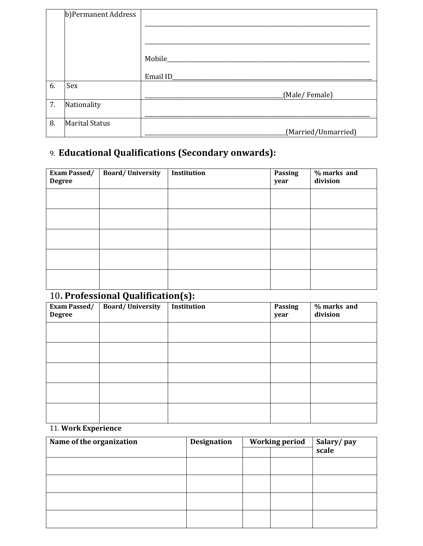|    | b) Permanent Address  |                     |
|----|-----------------------|---------------------|
|    |                       |                     |
|    |                       |                     |
|    |                       |                     |
|    |                       | Mobile_             |
|    |                       |                     |
|    |                       | Email ID_           |
| 6. | Sex                   |                     |
|    |                       | (Male/Female)       |
| 7. | Nationality           |                     |
|    |                       |                     |
| 8. | <b>Marital Status</b> |                     |
|    |                       | (Married/Unmarried) |

## 9. **Educational Qualifications (Secondary onwards):**

| <b>Exam Passed/</b><br><b>Degree</b> | <b>Board/University</b> | Institution | <b>Passing</b><br>year | % marks and<br>division |
|--------------------------------------|-------------------------|-------------|------------------------|-------------------------|
|                                      |                         |             |                        |                         |
|                                      |                         |             |                        |                         |
|                                      |                         |             |                        |                         |
|                                      |                         |             |                        |                         |
|                                      |                         |             |                        |                         |

# 10**. Professional Qualification(s):**

| <b>Exam Passed/</b><br><b>Degree</b> | <b>Board/University</b> | $\ddot{\phantom{0}}$<br>Institution | Passing<br>year | % marks and<br>division |
|--------------------------------------|-------------------------|-------------------------------------|-----------------|-------------------------|
|                                      |                         |                                     |                 |                         |
|                                      |                         |                                     |                 |                         |
|                                      |                         |                                     |                 |                         |
|                                      |                         |                                     |                 |                         |
|                                      |                         |                                     |                 |                         |

### 11. **Work Experience**

| Name of the organization | <b>Designation</b> | <b>Working period</b> |  | Salary/pay |
|--------------------------|--------------------|-----------------------|--|------------|
|                          |                    |                       |  | scale      |
|                          |                    |                       |  |            |
|                          |                    |                       |  |            |
|                          |                    |                       |  |            |
|                          |                    |                       |  |            |
|                          |                    |                       |  |            |
|                          |                    |                       |  |            |
|                          |                    |                       |  |            |
|                          |                    |                       |  |            |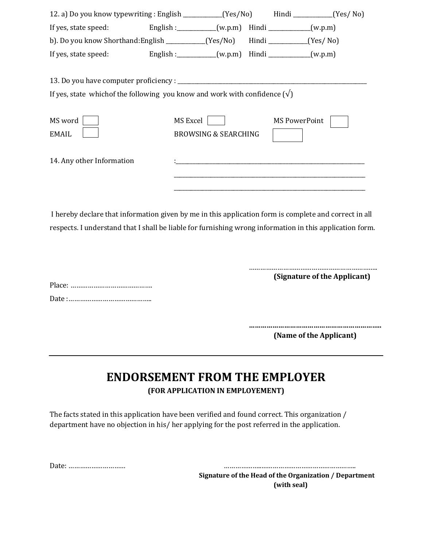| 12. a) Do you know typewriting : English __________(Yes/No) Hindi ________(Yes/No) |          |                                                                                                                     |  |                                                                                                                       |  |  |  |
|------------------------------------------------------------------------------------|----------|---------------------------------------------------------------------------------------------------------------------|--|-----------------------------------------------------------------------------------------------------------------------|--|--|--|
| If yes, state speed: English : _________(w.p.m) Hindi _________(w.p.m)             |          |                                                                                                                     |  |                                                                                                                       |  |  |  |
| b). Do you know Shorthand: English ___________(Yes/No) Hindi _________(Yes/No)     |          |                                                                                                                     |  |                                                                                                                       |  |  |  |
| If yes, state speed: English : _________(w.p.m) Hindi _________(w.p.m)             |          |                                                                                                                     |  |                                                                                                                       |  |  |  |
| If yes, state which of the following you know and work with confidence $(\sqrt{)}$ |          |                                                                                                                     |  |                                                                                                                       |  |  |  |
| MS word<br><b>EMAIL</b>                                                            | MS Excel | <b>BROWSING &amp; SEARCHING</b>                                                                                     |  | <b>MS PowerPoint</b>                                                                                                  |  |  |  |
| 14. Any other Information                                                          |          | <u> 1980 - Johann Stein, mars eta monte eta monte eta monte eta monte eta monte eta monte eta monte eta monte e</u> |  | <u> 1980 - An Dùbhlachd ann an Dùbhlachd ann an Dùbhlachd ann an Dùbhlachd ann an Dùbhlachd ann an Dùbhlachd ann </u> |  |  |  |
|                                                                                    |          |                                                                                                                     |  |                                                                                                                       |  |  |  |

I hereby declare that information given by me in this application form is complete and correct in all respects. I understand that I shall be liable for furnishing wrong information in this application form.

> ………………………………………………………….. **(Signature of the Applicant)**

**…………………………………………………………..**

**(Name of the Applicant)**

### **ENDORSEMENT FROM THE EMPLOYER (FOR APPLICATION IN EMPLOYEMENT)**

The facts stated in this application have been verified and found correct. This organization / department have no objection in his/ her applying for the post referred in the application.

Date: ………………………… ………………..………………………………………….. **Signature of the Head of the Organization / Department (with seal)**